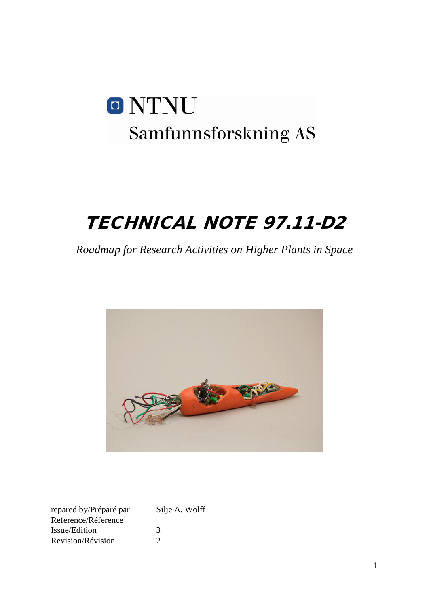# O NTNU Samfunnsforskning AS

# TECHNICAL NOTE 97.11-D2

*Roadmap for Research Activities on Higher Plants in Space*



| repared by/Préparé par | Silje A. Wolff |
|------------------------|----------------|
| Reference/Réference    |                |
| Issue/Edition          | 3              |
| Revision/Révision      | 7              |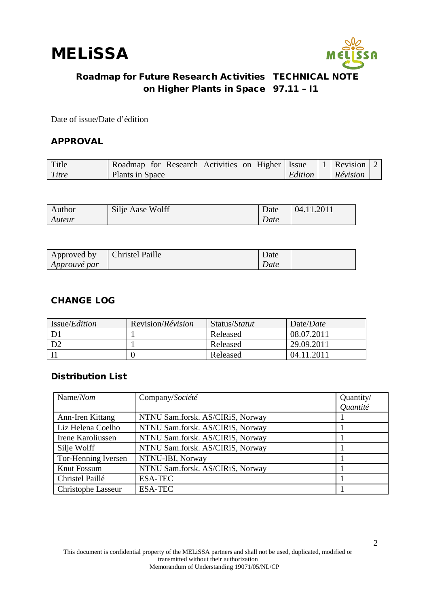

Date of issue/Date d'édition

#### APPROVAL

| Title | Roadmap for Research Activities on Higher   Issue |  |  |                | $\vert$ 1 Revision $\vert$ |  |
|-------|---------------------------------------------------|--|--|----------------|----------------------------|--|
| Titre | Plants in Space                                   |  |  | <i>Edition</i> | Révision                   |  |

| Author | Silje Aase Wolff | Date | 04.11.2011 |
|--------|------------------|------|------------|
| Auteur |                  | Date |            |

| Approved by         | <b>Christel Paille</b> | Date |  |
|---------------------|------------------------|------|--|
| <i>Approuvé par</i> |                        | Date |  |

#### CHANGE LOG

| Issue/ <i>Edition</i> | Revision/ <i>Révision</i> | Status/Statut | Date/ <i>Date</i> |
|-----------------------|---------------------------|---------------|-------------------|
|                       |                           | Released      | 08.07.2011        |
|                       |                           | Released      | 29.09.2011        |
|                       |                           | Released      | 04.11.2011        |

#### Distribution List

| Name/Nom            | Company/Société                  | Quantity/<br><i><u>Ouantité</u></i> |
|---------------------|----------------------------------|-------------------------------------|
| Ann-Iren Kittang    | NTNU Sam.forsk. AS/CIRiS, Norway |                                     |
| Liz Helena Coelho   | NTNU Sam.forsk. AS/CIRiS, Norway |                                     |
| Irene Karoliussen   | NTNU Sam.forsk. AS/CIRiS, Norway |                                     |
| Silje Wolff         | NTNU Sam.forsk. AS/CIRiS, Norway |                                     |
| Tor-Henning Iversen | NTNU-IBI, Norway                 |                                     |
| Knut Fossum         | NTNU Sam.forsk. AS/CIRiS, Norway |                                     |
| Christel Paillé     | <b>ESA-TEC</b>                   |                                     |
| Christophe Lasseur  | <b>ESA-TEC</b>                   |                                     |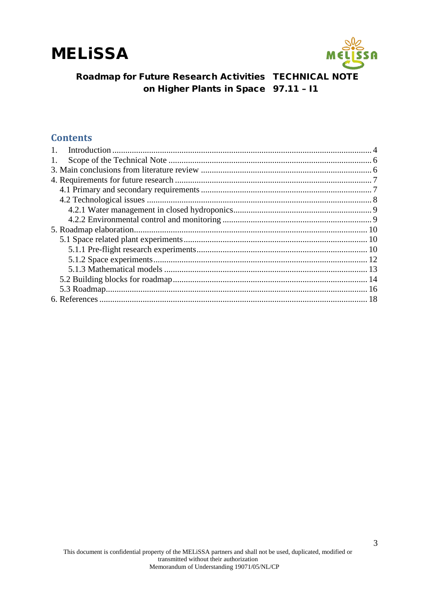



#### **Contents**

| 1. |  |
|----|--|
|    |  |
|    |  |
|    |  |
|    |  |
|    |  |
|    |  |
|    |  |
|    |  |
|    |  |
|    |  |
|    |  |
|    |  |
|    |  |
|    |  |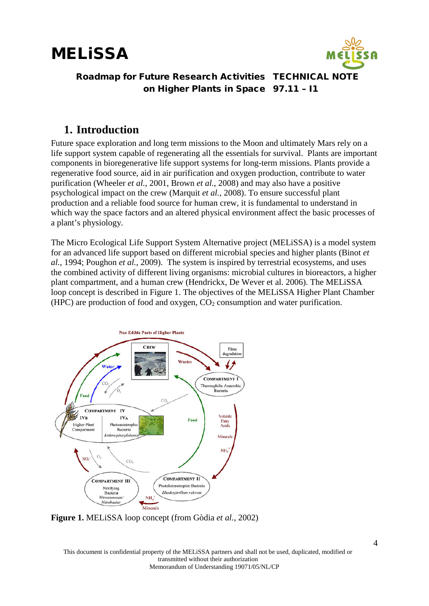



### <span id="page-3-0"></span>**1. Introduction**

Future space exploration and long term missions to the Moon and ultimately Mars rely on a life support system capable of regenerating all the essentials for survival. Plants are important components in bioregenerative life support systems for long-term missions. Plants provide a regenerative food source, aid in air purification and oxygen production, contribute to water purification (Wheeler *et al.*, 2001, Brown *et al.*, 2008) and may also have a positive psychological impact on the crew (Marquit *et al.*, 2008). To ensure successful plant production and a reliable food source for human crew, it is fundamental to understand in which way the space factors and an altered physical environment affect the basic processes of a plant's physiology.

The Micro Ecological Life Support System Alternative project (MELiSSA) is a model system for an advanced life support based on different microbial species and higher plants (Binot *et al.*, 1994; Poughon *et al.*, 2009). The system is inspired by terrestrial ecosystems, and uses the combined activity of different living organisms: microbial cultures in bioreactors, a higher plant compartment, and a human crew (Hendrickx, De Wever et al. 2006). The MELiSSA loop concept is described in Figure 1. The objectives of the MELiSSA Higher Plant Chamber (HPC) are production of food and oxygen,  $CO<sub>2</sub>$  consumption and water purification.



**Figure 1.** MELiSSA loop concept (from Gòdia *et al.*, 2002)

This document is confidential property of the MELiSSA partners and shall not be used, duplicated, modified or transmitted without their authorization Memorandum of Understanding 19071/05/NL/CP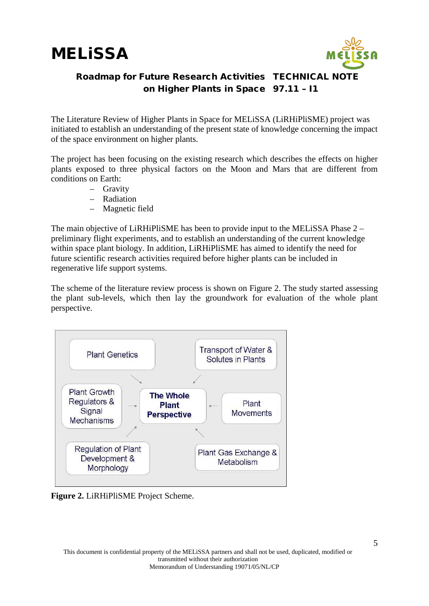



The Literature Review of Higher Plants in Space for MELiSSA (LiRHiPliSME) project was initiated to establish an understanding of the present state of knowledge concerning the impact of the space environment on higher plants.

The project has been focusing on the existing research which describes the effects on higher plants exposed to three physical factors on the Moon and Mars that are different from conditions on Earth:

- Gravity
- Radiation
- Magnetic field

The main objective of LiRHiPliSME has been to provide input to the MELiSSA Phase 2 – preliminary flight experiments, and to establish an understanding of the current knowledge within space plant biology. In addition, LiRHiPliSME has aimed to identify the need for future scientific research activities required before higher plants can be included in regenerative life support systems.

The scheme of the literature review process is shown on Figure 2. The study started assessing the plant sub-levels, which then lay the groundwork for evaluation of the whole plant perspective.



**Figure 2.** LiRHiPliSME Project Scheme.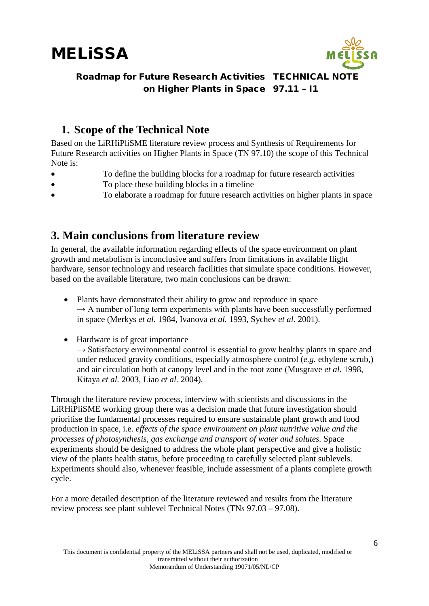

## <span id="page-5-0"></span>**1. Scope of the Technical Note**

Based on the LiRHiPliSME literature review process and Synthesis of Requirements for Future Research activities on Higher Plants in Space (TN 97.10) the scope of this Technical Note is:

- To define the building blocks for a roadmap for future research activities
- To place these building blocks in a timeline
- To elaborate a roadmap for future research activities on higher plants in space

### <span id="page-5-1"></span>**3. Main conclusions from literature review**

In general, the available information regarding effects of the space environment on plant growth and metabolism is inconclusive and suffers from limitations in available flight hardware, sensor technology and research facilities that simulate space conditions. However, based on the available literature, two main conclusions can be drawn:

- Plants have demonstrated their ability to grow and reproduce in space  $\rightarrow$  A number of long term experiments with plants have been successfully performed in space (Merkys *et al.* 1984, Ivanova *et al.* 1993, Sychev *et al.* 2001).
- Hardware is of great importance

 $\rightarrow$  Satisfactory environmental control is essential to grow healthy plants in space and under reduced gravity conditions, especially atmosphere control (*e.g.* ethylene scrub,) and air circulation both at canopy level and in the root zone (Musgrave *et al.* 1998, Kitaya *et al.* 2003, Liao *et al.* 2004).

Through the literature review process, interview with scientists and discussions in the LiRHiPliSME working group there was a decision made that future investigation should prioritise the fundamental processes required to ensure sustainable plant growth and food production in space, i.e. *effects of the space environment on plant nutritive value and the processes of photosynthesis, gas exchange and transport of water and solutes.* Space experiments should be designed to address the whole plant perspective and give a holistic view of the plants health status, before proceeding to carefully selected plant sublevels. Experiments should also, whenever feasible, include assessment of a plants complete growth cycle.

For a more detailed description of the literature reviewed and results from the literature review process see plant sublevel Technical Notes (TNs 97.03 – 97.08).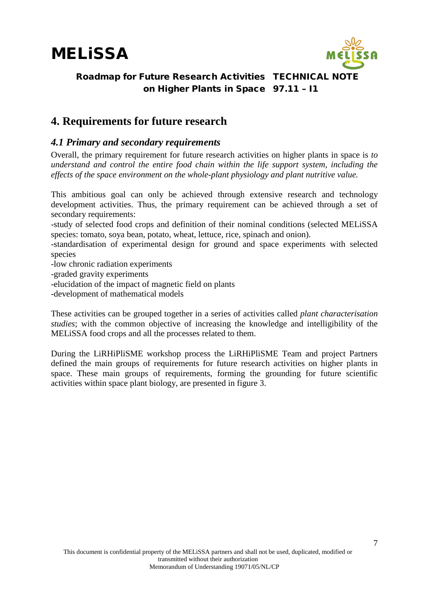

#### Roadmap for Future Research Activities TECHNICAL NOTE on Higher Plants in Space 97.11 – I1

### <span id="page-6-0"></span>**4. Requirements for future research**

#### <span id="page-6-1"></span>*4.1 Primary and secondary requirements*

Overall, the primary requirement for future research activities on higher plants in space is *to understand and control the entire food chain within the life support system, including the effects of the space environment on the whole-plant physiology and plant nutritive value.* 

This ambitious goal can only be achieved through extensive research and technology development activities. Thus, the primary requirement can be achieved through a set of secondary requirements:

-study of selected food crops and definition of their nominal conditions (selected MELiSSA species: tomato, soya bean, potato, wheat, lettuce, rice, spinach and onion).

-standardisation of experimental design for ground and space experiments with selected species

-low chronic radiation experiments

-graded gravity experiments

-elucidation of the impact of magnetic field on plants

-development of mathematical models

These activities can be grouped together in a series of activities called *plant characterisation studies*; with the common objective of increasing the knowledge and intelligibility of the MELiSSA food crops and all the processes related to them.

During the LiRHiPliSME workshop process the LiRHiPliSME Team and project Partners defined the main groups of requirements for future research activities on higher plants in space. These main groups of requirements, forming the grounding for future scientific activities within space plant biology, are presented in figure 3.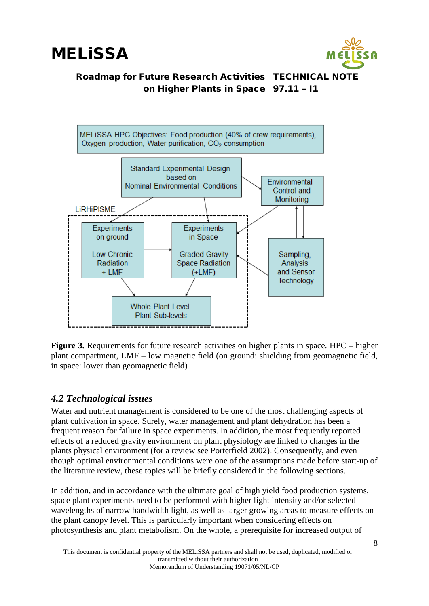



Figure 3. Requirements for future research activities on higher plants in space. HPC – higher plant compartment, LMF – low magnetic field (on ground: shielding from geomagnetic field, in space: lower than geomagnetic field)

#### <span id="page-7-0"></span>*4.2 Technological issues*

Water and nutrient management is considered to be one of the most challenging aspects of plant cultivation in space. Surely, water management and plant dehydration has been a frequent reason for failure in space experiments. In addition, the most frequently reported effects of a reduced gravity environment on plant physiology are linked to changes in the plants physical environment (for a review see Porterfield 2002). Consequently, and even though optimal environmental conditions were one of the assumptions made before start-up of the literature review, these topics will be briefly considered in the following sections.

In addition, and in accordance with the ultimate goal of high yield food production systems, space plant experiments need to be performed with higher light intensity and/or selected wavelengths of narrow bandwidth light, as well as larger growing areas to measure effects on the plant canopy level. This is particularly important when considering effects on photosynthesis and plant metabolism. On the whole, a prerequisite for increased output of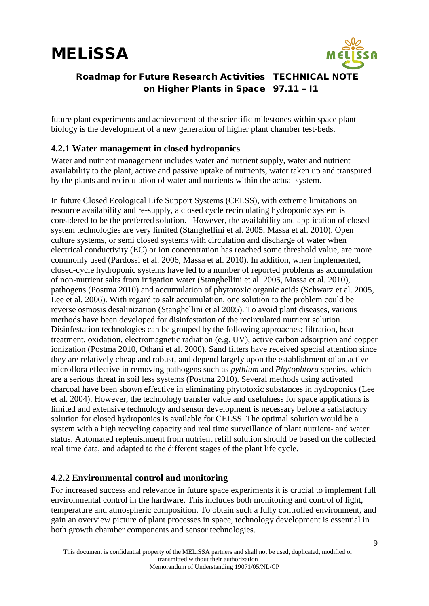

#### Roadmap for Future Research Activities TECHNICAL NOTE on Higher Plants in Space 97.11 – I1

future plant experiments and achievement of the scientific milestones within space plant biology is the development of a new generation of higher plant chamber test-beds.

#### <span id="page-8-0"></span>**4.2.1 Water management in closed hydroponics**

Water and nutrient management includes water and nutrient supply, water and nutrient availability to the plant, active and passive uptake of nutrients, water taken up and transpired by the plants and recirculation of water and nutrients within the actual system.

In future Closed Ecological Life Support Systems (CELSS), with extreme limitations on resource availability and re-supply, a closed cycle recirculating hydroponic system is considered to be the preferred solution. However, the availability and application of closed system technologies are very limited (Stanghellini et al. 2005, Massa et al. 2010). Open culture systems, or semi closed systems with circulation and discharge of water when electrical conductivity (EC) or ion concentration has reached some threshold value, are more commonly used (Pardossi et al. 2006, Massa et al. 2010). In addition, when implemented, closed-cycle hydroponic systems have led to a number of reported problems as accumulation of non-nutrient salts from irrigation water (Stanghellini et al. 2005, Massa et al. 2010), pathogens (Postma 2010) and accumulation of phytotoxic organic acids (Schwarz et al. 2005, Lee et al. 2006). With regard to salt accumulation, one solution to the problem could be reverse osmosis desalinization (Stanghellini et al 2005). To avoid plant diseases, various methods have been developed for disinfestation of the recirculated nutrient solution. Disinfestation technologies can be grouped by the following approaches; filtration, heat treatment, oxidation, electromagnetic radiation (e.g. UV), active carbon adsorption and copper ionization (Postma 2010, Othani et al. 2000). Sand filters have received special attention since they are relatively cheap and robust, and depend largely upon the establishment of an active microflora effective in removing pathogens such as *pythium* and *Phytophtora* species, which are a serious threat in soil less systems (Postma 2010). Several methods using activated charcoal have been shown effective in eliminating phytotoxic substances in hydroponics (Lee et al. 2004). However, the technology transfer value and usefulness for space applications is limited and extensive technology and sensor development is necessary before a satisfactory solution for closed hydroponics is available for CELSS. The optimal solution would be a system with a high recycling capacity and real time surveillance of plant nutrient- and water status. Automated replenishment from nutrient refill solution should be based on the collected real time data, and adapted to the different stages of the plant life cycle.

#### <span id="page-8-1"></span>**4.2.2 Environmental control and monitoring**

For increased success and relevance in future space experiments it is crucial to implement full environmental control in the hardware. This includes both monitoring and control of light, temperature and atmospheric composition. To obtain such a fully controlled environment, and gain an overview picture of plant processes in space, technology development is essential in both growth chamber components and sensor technologies.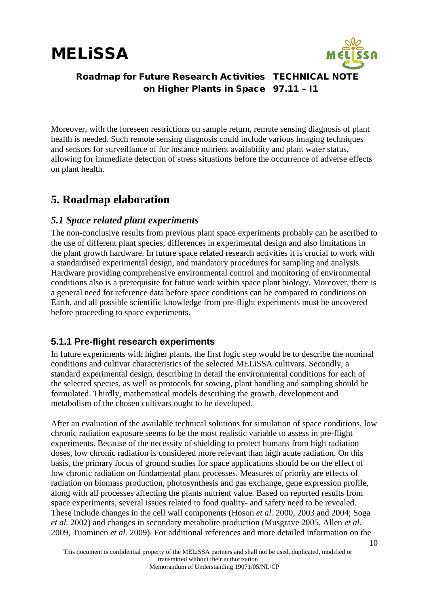

#### Roadmap for Future Research Activities TECHNICAL NOTE on Higher Plants in Space 97.11 – I1

Moreover, with the foreseen restrictions on sample return, remote sensing diagnosis of plant health is needed. Such remote sensing diagnosis could include various imaging techniques and sensors for surveillance of for instance nutrient availability and plant water status, allowing for immediate detection of stress situations before the occurrence of adverse effects on plant health.

### <span id="page-9-0"></span>**5. Roadmap elaboration**

#### <span id="page-9-1"></span>*5.1 Space related plant experiments*

The non-conclusive results from previous plant space experiments probably can be ascribed to the use of different plant species, differences in experimental design and also limitations in the plant growth hardware. In future space related research activities it is crucial to work with a standardised experimental design, and mandatory procedures for sampling and analysis. Hardware providing comprehensive environmental control and monitoring of environmental conditions also is a prerequisite for future work within space plant biology. Moreover, there is a general need for reference data before space conditions can be compared to conditions on Earth, and all possible scientific knowledge from pre-flight experiments must be uncovered before proceeding to space experiments.

#### <span id="page-9-2"></span>**5.1.1 Pre-flight research experiments**

In future experiments with higher plants, the first logic step would be to describe the nominal conditions and cultivar characteristics of the selected MELiSSA cultivars. Secondly, a standard experimental design, describing in detail the environmental conditions for each of the selected species, as well as protocols for sowing, plant handling and sampling should be formulated. Thirdly, mathematical models describing the growth, development and metabolism of the chosen cultivars ought to be developed.

After an evaluation of the available technical solutions for simulation of space conditions, low chronic radiation exposure seems to be the most realistic variable to assess in pre-flight experiments. Because of the necessity of shielding to protect humans from high radiation doses, low chronic radiation is considered more relevant than high acute radiation. On this basis, the primary focus of ground studies for space applications should be on the effect of low chronic radiation on fundamental plant processes. Measures of priority are effects of radiation on biomass production, photosynthesis and gas exchange, gene expression profile, along with all processes affecting the plants nutrient value. Based on reported results from space experiments, several issues related to food quality- and safety need to be revealed. These include changes in the cell wall components (Hoson *et al.* 2000, 2003 and 2004; Soga *et al.* 2002) and changes in secondary metabolite production (Musgrave 2005, Allen *et al.*  2009, Tuominen *et al.* 2009). For additional references and more detailed information on the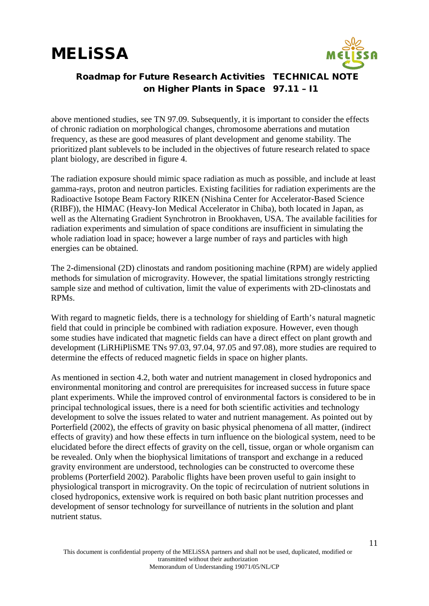

#### Roadmap for Future Research Activities TECHNICAL NOTE on Higher Plants in Space 97.11 – I1

above mentioned studies, see TN 97.09. Subsequently, it is important to consider the effects of chronic radiation on morphological changes, chromosome aberrations and mutation frequency, as these are good measures of plant development and genome stability. The prioritized plant sublevels to be included in the objectives of future research related to space plant biology, are described in figure 4.

The radiation exposure should mimic space radiation as much as possible, and include at least gamma-rays, proton and neutron particles. Existing facilities for radiation experiments are the Radioactive Isotope Beam Factory RIKEN (Nishina Center for Accelerator-Based Science (RIBF)), the HIMAC (Heavy-Ion Medical Accelerator in Chiba), both located in Japan, as well as the Alternating Gradient Synchrotron in Brookhaven, USA. The available facilities for radiation experiments and simulation of space conditions are insufficient in simulating the whole radiation load in space; however a large number of rays and particles with high energies can be obtained.

The 2-dimensional (2D) clinostats and random positioning machine (RPM) are widely applied methods for simulation of microgravity. However, the spatial limitations strongly restricting sample size and method of cultivation, limit the value of experiments with 2D-clinostats and RPMs.

With regard to magnetic fields, there is a technology for shielding of Earth's natural magnetic field that could in principle be combined with radiation exposure. However, even though some studies have indicated that magnetic fields can have a direct effect on plant growth and development (LiRHiPliSME TNs 97.03, 97.04, 97.05 and 97.08), more studies are required to determine the effects of reduced magnetic fields in space on higher plants.

As mentioned in section 4.2, both water and nutrient management in closed hydroponics and environmental monitoring and control are prerequisites for increased success in future space plant experiments. While the improved control of environmental factors is considered to be in principal technological issues, there is a need for both scientific activities and technology development to solve the issues related to water and nutrient management. As pointed out by Porterfield (2002), the effects of gravity on basic physical phenomena of all matter, (indirect effects of gravity) and how these effects in turn influence on the biological system, need to be elucidated before the direct effects of gravity on the cell, tissue, organ or whole organism can be revealed. Only when the biophysical limitations of transport and exchange in a reduced gravity environment are understood, technologies can be constructed to overcome these problems (Porterfield 2002). Parabolic flights have been proven useful to gain insight to physiological transport in microgravity. On the topic of recirculation of nutrient solutions in closed hydroponics, extensive work is required on both basic plant nutrition processes and development of sensor technology for surveillance of nutrients in the solution and plant nutrient status.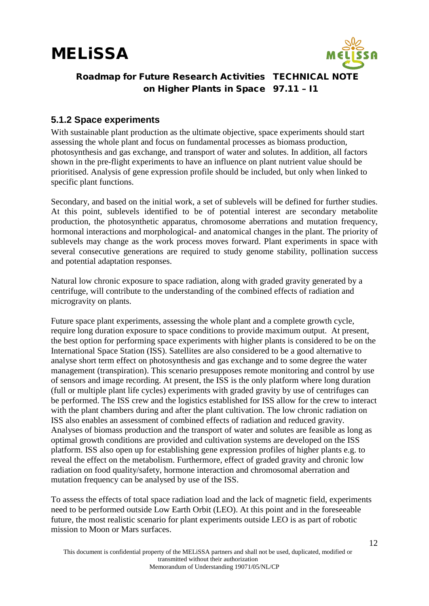

#### <span id="page-11-0"></span>**5.1.2 Space experiments**

With sustainable plant production as the ultimate objective, space experiments should start assessing the whole plant and focus on fundamental processes as biomass production, photosynthesis and gas exchange, and transport of water and solutes. In addition, all factors shown in the pre-flight experiments to have an influence on plant nutrient value should be prioritised. Analysis of gene expression profile should be included, but only when linked to specific plant functions.

Secondary, and based on the initial work, a set of sublevels will be defined for further studies. At this point, sublevels identified to be of potential interest are secondary metabolite production, the photosynthetic apparatus, chromosome aberrations and mutation frequency, hormonal interactions and morphological- and anatomical changes in the plant. The priority of sublevels may change as the work process moves forward. Plant experiments in space with several consecutive generations are required to study genome stability, pollination success and potential adaptation responses.

Natural low chronic exposure to space radiation, along with graded gravity generated by a centrifuge, will contribute to the understanding of the combined effects of radiation and microgravity on plants.

Future space plant experiments, assessing the whole plant and a complete growth cycle, require long duration exposure to space conditions to provide maximum output. At present, the best option for performing space experiments with higher plants is considered to be on the International Space Station (ISS). Satellites are also considered to be a good alternative to analyse short term effect on photosynthesis and gas exchange and to some degree the water management (transpiration). This scenario presupposes remote monitoring and control by use of sensors and image recording. At present, the ISS is the only platform where long duration (full or multiple plant life cycles) experiments with graded gravity by use of centrifuges can be performed. The ISS crew and the logistics established for ISS allow for the crew to interact with the plant chambers during and after the plant cultivation. The low chronic radiation on ISS also enables an assessment of combined effects of radiation and reduced gravity. Analyses of biomass production and the transport of water and solutes are feasible as long as optimal growth conditions are provided and cultivation systems are developed on the ISS platform. ISS also open up for establishing gene expression profiles of higher plants e.g. to reveal the effect on the metabolism. Furthermore, effect of graded gravity and chronic low radiation on food quality/safety, hormone interaction and chromosomal aberration and mutation frequency can be analysed by use of the ISS.

To assess the effects of total space radiation load and the lack of magnetic field, experiments need to be performed outside Low Earth Orbit (LEO). At this point and in the foreseeable future, the most realistic scenario for plant experiments outside LEO is as part of robotic mission to Moon or Mars surfaces.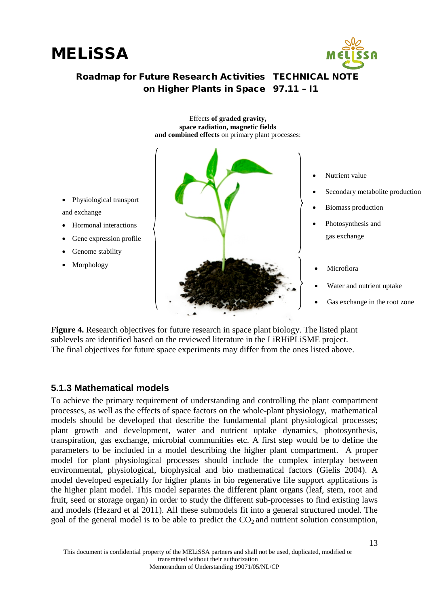





- Physiological transport and exchange
- Hormonal interactions
- Gene expression profile
- Genome stability
- Morphology



- Nutrient value
- Secondary metabolite production
- Biomass production
- Photosynthesis and gas exchange
- **Microflora**
- Water and nutrient uptake
- Gas exchange in the root zone

**Figure 4.** Research objectives for future research in space plant biology. The listed plant sublevels are identified based on the reviewed literature in the LiRHiPLiSME project. The final objectives for future space experiments may differ from the ones listed above.

#### <span id="page-12-0"></span>**5.1.3 Mathematical models**

To achieve the primary requirement of understanding and controlling the plant compartment processes, as well as the effects of space factors on the whole-plant physiology, mathematical models should be developed that describe the fundamental plant physiological processes; plant growth and development, water and nutrient uptake dynamics, photosynthesis, transpiration, gas exchange, microbial communities etc. A first step would be to define the parameters to be included in a model describing the higher plant compartment. A proper model for plant physiological processes should include the complex interplay between environmental, physiological, biophysical and bio mathematical factors (Gielis 2004). A model developed especially for higher plants in bio regenerative life support applications is the higher plant model. This model separates the different plant organs (leaf, stem, root and fruit, seed or storage organ) in order to study the different sub-processes to find existing laws and models (Hezard et al 2011). All these submodels fit into a general structured model. The goal of the general model is to be able to predict the  $CO<sub>2</sub>$  and nutrient solution consumption,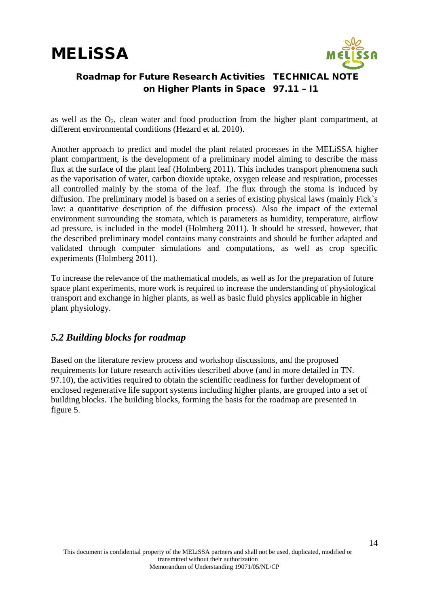



as well as the  $O_2$ , clean water and food production from the higher plant compartment, at different environmental conditions (Hezard et al. 2010).

Another approach to predict and model the plant related processes in the MELiSSA higher plant compartment, is the development of a preliminary model aiming to describe the mass flux at the surface of the plant leaf (Holmberg 2011). This includes transport phenomena such as the vaporisation of water, carbon dioxide uptake, oxygen release and respiration, processes all controlled mainly by the stoma of the leaf. The flux through the stoma is induced by diffusion. The preliminary model is based on a series of existing physical laws (mainly Fick`s law: a quantitative description of the diffusion process). Also the impact of the external environment surrounding the stomata, which is parameters as humidity, temperature, airflow ad pressure, is included in the model (Holmberg 2011). It should be stressed, however, that the described preliminary model contains many constraints and should be further adapted and validated through computer simulations and computations, as well as crop specific experiments (Holmberg 2011).

To increase the relevance of the mathematical models, as well as for the preparation of future space plant experiments, more work is required to increase the understanding of physiological transport and exchange in higher plants, as well as basic fluid physics applicable in higher plant physiology.

#### <span id="page-13-0"></span>*5.2 Building blocks for roadmap*

Based on the literature review process and workshop discussions, and the proposed requirements for future research activities described above (and in more detailed in TN. 97.10), the activities required to obtain the scientific readiness for further development of enclosed regenerative life support systems including higher plants, are grouped into a set of building blocks. The building blocks, forming the basis for the roadmap are presented in figure 5.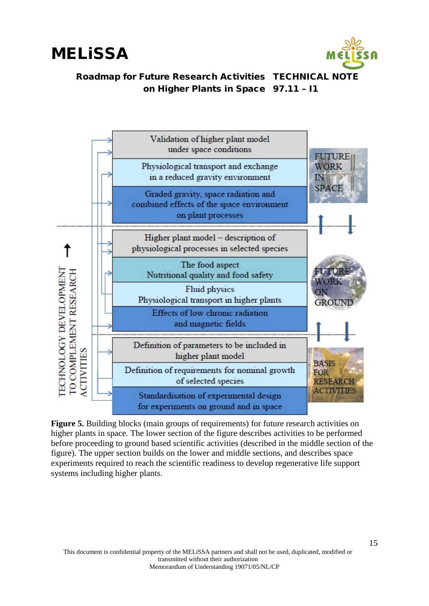



**Figure 5.** Building blocks (main groups of requirements) for future research activities on higher plants in space. The lower section of the figure describes activities to be performed before proceeding to ground based scientific activities (described in the middle section of the figure). The upper section builds on the lower and middle sections, and describes space experiments required to reach the scientific readiness to develop regenerative life support systems including higher plants.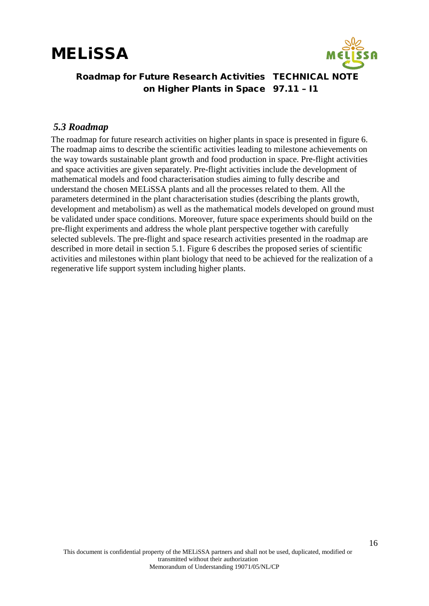

#### Roadmap for Future Research Activities TECHNICAL NOTE on Higher Plants in Space 97.11 – I1

#### <span id="page-15-0"></span>*5.3 Roadmap*

The roadmap for future research activities on higher plants in space is presented in figure 6. The roadmap aims to describe the scientific activities leading to milestone achievements on the way towards sustainable plant growth and food production in space. Pre-flight activities and space activities are given separately. Pre-flight activities include the development of mathematical models and food characterisation studies aiming to fully describe and understand the chosen MELiSSA plants and all the processes related to them. All the parameters determined in the plant characterisation studies (describing the plants growth, development and metabolism) as well as the mathematical models developed on ground must be validated under space conditions. Moreover, future space experiments should build on the pre-flight experiments and address the whole plant perspective together with carefully selected sublevels. The pre-flight and space research activities presented in the roadmap are described in more detail in section 5.1. Figure 6 describes the proposed series of scientific activities and milestones within plant biology that need to be achieved for the realization of a regenerative life support system including higher plants.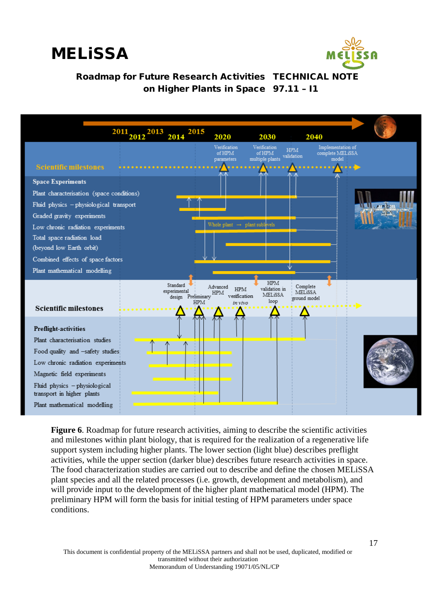





**Figure 6**. Roadmap for future research activities, aiming to describe the scientific activities and milestones within plant biology, that is required for the realization of a regenerative life support system including higher plants. The lower section (light blue) describes preflight activities, while the upper section (darker blue) describes future research activities in space. The food characterization studies are carried out to describe and define the chosen MELiSSA plant species and all the related processes (i.e. growth, development and metabolism), and will provide input to the development of the higher plant mathematical model (HPM). The preliminary HPM will form the basis for initial testing of HPM parameters under space conditions.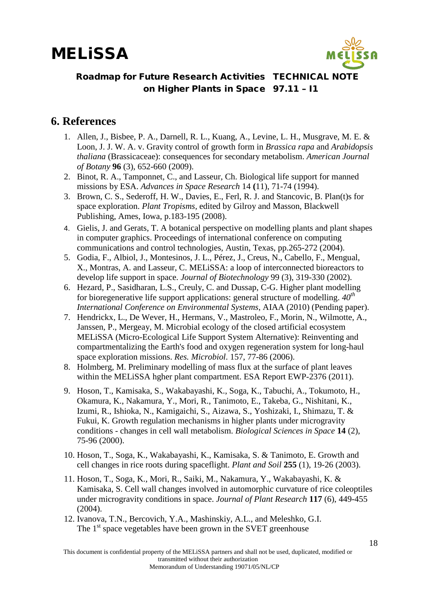

### <span id="page-17-0"></span>**6. References**

- 1. Allen, J., Bisbee, P. A., Darnell, R. L., Kuang, A., Levine, L. H., Musgrave, M. E. & Loon, J. J. W. A. v. Gravity control of growth form in *Brassica rapa* and *Arabidopsis thaliana* (Brassicaceae): consequences for secondary metabolism. *American Journal of Botany* **96** (3), 652-660 (2009).
- 2. Binot, R. A., Tamponnet, C., and Lasseur, Ch. Biological life support for manned missions by ESA. *Advances in Space Research* 14 **(**11), 71-74 (1994).
- 3. Brown, C. S., Sederoff, H. W., Davies, E., Ferl, R. J. and Stancovic, B. Plan(t)s for space exploration. *Plant Tropisms,* edited by Gilroy and Masson, Blackwell Publishing, Ames, Iowa, p.183-195 (2008).
- 4. Gielis, J. and Gerats, T. A botanical perspective on modelling plants and plant shapes in computer graphics. Proceedings of international conference on computing communications and control technologies, Austin, Texas, pp.265-272 (2004).
- 5. Godia, F., Albiol, J., Montesinos, J. L., Pérez, J., Creus, N., Cabello, F., Mengual, X., Montras, A. and Lasseur, C. MELiSSA: a loop of interconnected bioreactors to develop life support in space. *Journal of Biotechnology* 99 (3), 319-330 (2002).
- 6. Hezard, P., Sasidharan, L.S., Creuly, C. and Dussap, C-G. Higher plant modelling for bioregenerative life support applications: general structure of modelling. *40th International Conference on Environmental Systems*, AIAA (2010) (Pending paper).
- 7. Hendrickx, L., De Wever, H., Hermans, V., Mastroleo, F., Morin, N., Wilmotte, A., Janssen, P., Mergeay, M. Microbial ecology of the closed artificial ecosystem MELiSSA (Micro-Ecological Life Support System Alternative): Reinventing and compartmentalizing the Earth's food and oxygen regeneration system for long-haul space exploration missions. *Res. Microbiol*. 157, 77-86 (2006).
- 8. Holmberg, M. Preliminary modelling of mass flux at the surface of plant leaves within the MELiSSA hgher plant compartment. ESA Report EWP-2376 (2011).
- 9. Hoson, T., Kamisaka, S., Wakabayashi, K., Soga, K., Tabuchi, A., Tokumoto, H., Okamura, K., Nakamura, Y., Mori, R., Tanimoto, E., Takeba, G., Nishitani, K., Izumi, R., Ishioka, N., Kamigaichi, S., Aizawa, S., Yoshizaki, I., Shimazu, T. & Fukui, K. Growth regulation mechanisms in higher plants under microgravity conditions - changes in cell wall metabolism. *Biological Sciences in Space* **14** (2), 75-96 (2000).
- 10. Hoson, T., Soga, K., Wakabayashi, K., Kamisaka, S. & Tanimoto, E. Growth and cell changes in rice roots during spaceflight. *Plant and Soil* **255** (1), 19-26 (2003).
- 11. Hoson, T., Soga, K., Mori, R., Saiki, M., Nakamura, Y., Wakabayashi, K. & Kamisaka, S. Cell wall changes involved in automorphic curvature of rice coleoptiles under microgravity conditions in space. *Journal of Plant Research* **117** (6), 449-455  $(2004)$ .
- 12. Ivanova, T.N., Bercovich, Y.A., Mashinskiy, A.L., and Meleshko, G.I. The  $1<sup>st</sup>$  space vegetables have been grown in the SVET greenhouse

This document is confidential property of the MELiSSA partners and shall not be used, duplicated, modified or transmitted without their authorization Memorandum of Understanding 19071/05/NL/CP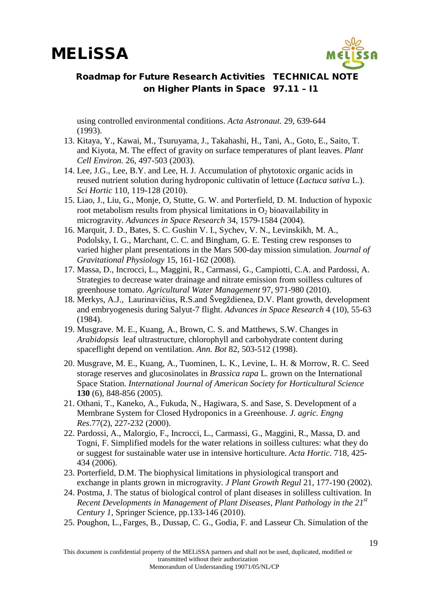

using controlled environmental conditions. *Acta Astronaut*. 29, 639-644 (1993).

- 13. Kitaya, Y., Kawai, M., Tsuruyama, J., Takahashi, H., Tani, A., Goto, E., Saito, T. and Kiyota, M. The effect of gravity on surface temperatures of plant leaves. *Plant Cell Environ.* 26, 497-503 (2003).
- 14. Lee, J.G., Lee, B.Y. and Lee, H. J. Accumulation of phytotoxic organic acids in reused nutrient solution during hydroponic cultivatin of lettuce (*Lactuca sativa* L.). *Sci Hortic* 110, 119-128 (2010).
- 15. Liao, J., Liu, G., Monje, O, Stutte, G. W. and Porterfield, D. M. Induction of hypoxic root metabolism results from physical limitations in  $O<sub>2</sub>$  bioavailability in microgravity. *Advances in Space Research* 34, 1579-1584 (2004).
- 16. Marquit, J. D., Bates, S. C. Gushin V. I., Sychev, V. N., Levinskikh, M. A., Podolsky, I. G., Marchant, C. C. and Bingham, G. E. Testing crew responses to varied higher plant presentations in the Mars 500-day mission simulation. *Journal of Gravitational Physiology* 15, 161-162 (2008).
- 17. Massa, D., Incrocci, L., Maggini, R., Carmassi, G., Campiotti, C.A. and Pardossi, A. Strategies to decrease water drainage and nitrate emission from soilless cultures of greenhouse tomato. *Agricultural Water Management* 97, 971-980 (2010).
- 18. Merkys, A.J., Laurinavičius, R.S.and Švegždienea, D.V. Plant growth, development and embryogenesis during Salyut-7 flight. *Advances in Space Research* 4 (10), 55-63 (1984).
- 19. Musgrave. M. E., Kuang, A., Brown, C. S. and Matthews, S.W. Changes in *Arabidopsis* leaf ultrastructure, chlorophyll and carbohydrate content during spaceflight depend on ventilation. *Ann. Bot* 82, 503-512 (1998).
- 20. Musgrave, M. E., Kuang, A., Tuominen, L. K., Levine, L. H. & Morrow, R. C. Seed storage reserves and glucosinolates in *Brassica rapa* L. grown on the International Space Station. *International Journal of American Society for Horticultural Science* **130** (6), 848-856 (2005).
- 21. Othani, T., Kaneko, A., Fukuda, N., Hagiwara, S. and Sase, S. Development of a Membrane System for Closed Hydroponics in a Greenhouse. *J. agric. Engng Res.*77(2), 227-232 (2000).
- 22. Pardossi, A., Malorgio, F., Incrocci, L., Carmassi, G., Maggini, R., Massa, D. and Togni, F. Simplified models for the water relations in soilless cultures: what they do or suggest for sustainable water use in intensive horticulture. *Acta Hortic*. 718, 425- 434 (2006).
- 23. Porterfield, D.M. The biophysical limitations in physiological transport and exchange in plants grown in microgravity. *J Plant Growth Regul* 21, 177-190 (2002).
- 24. Postma, J. The status of biological control of plant diseases in solilless cultivation. In *Recent Developments in Management of Plant Diseases, Plant Pathology in the 21st Century 1*, Springer Science, pp.133-146 (2010).
- 25. Poughon, L., Farges, B., Dussap, C. G., Godia, F. and Lasseur Ch. Simulation of the

This document is confidential property of the MELiSSA partners and shall not be used, duplicated, modified or transmitted without their authorization Memorandum of Understanding 19071/05/NL/CP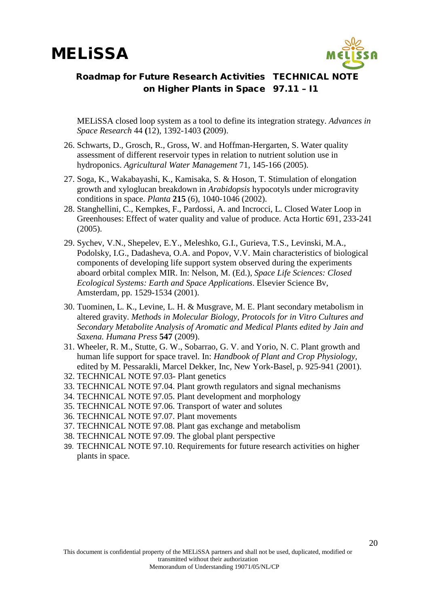

MELiSSA closed loop system as a tool to define its integration strategy. *Advances in Space Research* 44 **(**12), 1392-1403 **(**2009).

- 26. Schwarts, D., Grosch, R., Gross, W. and Hoffman-Hergarten, S. Water quality assessment of different reservoir types in relation to nutrient solution use in hydroponics. *Agricultural Water Management* 71, 145-166 (2005).
- 27. Soga, K., Wakabayashi, K., Kamisaka, S. & Hoson, T. Stimulation of elongation growth and xyloglucan breakdown in *Arabidopsis* hypocotyls under microgravity conditions in space. *Planta* **215** (6), 1040-1046 (2002).
- 28. Stanghellini, C., Kempkes, F., Pardossi, A. and Incrocci, L. Closed Water Loop in Greenhouses: Effect of water quality and value of produce. Acta Hortic 691, 233-241 (2005).
- 29. Sychev, V.N., Shepelev, E.Y., Meleshko, G.I., Gurieva, T.S., Levinski, M.A., Podolsky, I.G., Dadasheva, O.A. and Popov, V.V. Main characteristics of biological components of developing life support system observed during the experiments aboard orbital complex MIR. In: Nelson, M. (Ed.), *Space Life Sciences: Closed Ecological Systems: Earth and Space Applications*. Elsevier Science Bv, Amsterdam, pp. 1529-1534 (2001).
- 30. Tuominen, L. K., Levine, L. H. & Musgrave, M. E. Plant secondary metabolism in altered gravity. *Methods in Molecular Biology, Protocols for in Vitro Cultures and Secondary Metabolite Analysis of Aromatic and Medical Plants edited by Jain and Saxena. Humana Press* **547** (2009).
- 31. Wheeler, R. M., Stutte, G. W., Sobarrao, G. V. and Yorio, N. C. Plant growth and human life support for space travel. In: *Handbook of Plant and Crop Physiology,* edited by M. Pessarakli, Marcel Dekker, Inc, New York-Basel, p. 925-941 (2001).
- 32. TECHNICAL NOTE 97.03- Plant genetics
- 33. TECHNICAL NOTE 97.04. Plant growth regulators and signal mechanisms
- 34. TECHNICAL NOTE 97.05. Plant development and morphology
- 35. TECHNICAL NOTE 97.06. Transport of water and solutes
- 36. TECHNICAL NOTE 97.07. Plant movements
- 37. TECHNICAL NOTE 97.08. Plant gas exchange and metabolism
- 38. TECHNICAL NOTE 97.09. The global plant perspective
- 39. TECHNICAL NOTE 97.10. Requirements for future research activities on higher plants in space.